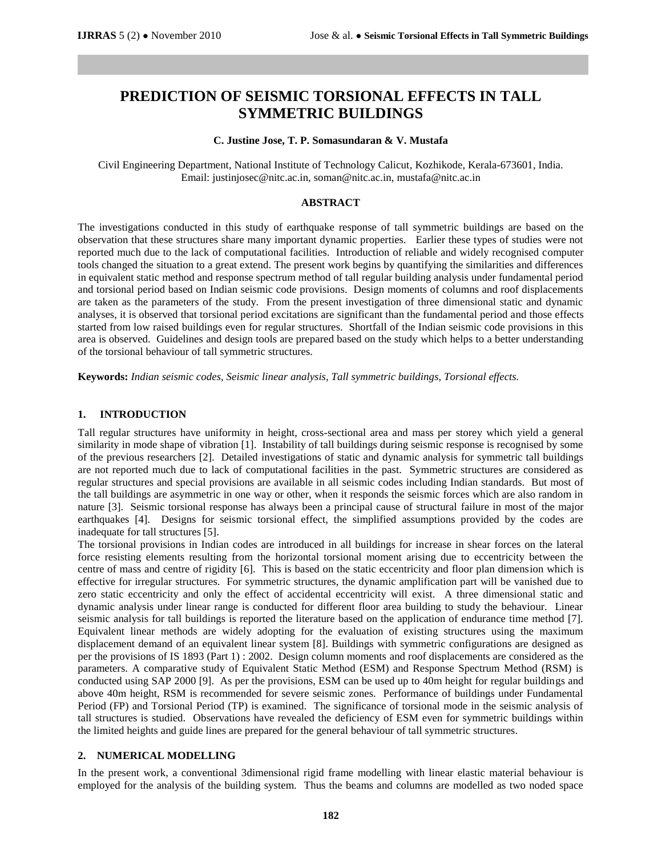# **PREDICTION OF SEISMIC TORSIONAL EFFECTS IN TALL SYMMETRIC BUILDINGS**

#### **C. Justine Jose, T. P. Somasundaran & V. Mustafa**

Civil Engineering Department, National Institute of Technology Calicut, Kozhikode, Kerala-673601, India. Email[: justinjosec@nitc.ac.in,](mailto:justinjosec@nitc.ac.in) [soman@nitc.ac.in,](mailto:soman@nitc.ac.in) [mustafa@nitc.ac.in](mailto:mustafa@nitc.ac.in)

# **ABSTRACT**

The investigations conducted in this study of earthquake response of tall symmetric buildings are based on the observation that these structures share many important dynamic properties. Earlier these types of studies were not reported much due to the lack of computational facilities. Introduction of reliable and widely recognised computer tools changed the situation to a great extend. The present work begins by quantifying the similarities and differences in equivalent static method and response spectrum method of tall regular building analysis under fundamental period and torsional period based on Indian seismic code provisions. Design moments of columns and roof displacements are taken as the parameters of the study. From the present investigation of three dimensional static and dynamic analyses, it is observed that torsional period excitations are significant than the fundamental period and those effects started from low raised buildings even for regular structures. Shortfall of the Indian seismic code provisions in this area is observed. Guidelines and design tools are prepared based on the study which helps to a better understanding of the torsional behaviour of tall symmetric structures.

**Keywords:** *Indian seismic codes, Seismic linear analysis, Tall symmetric buildings, Torsional effects.* 

# **1. INTRODUCTION**

Tall regular structures have uniformity in height, cross-sectional area and mass per storey which yield a general similarity in mode shape of vibration [1]. Instability of tall buildings during seismic response is recognised by some of the previous researchers [2]. Detailed investigations of static and dynamic analysis for symmetric tall buildings are not reported much due to lack of computational facilities in the past. Symmetric structures are considered as regular structures and special provisions are available in all seismic codes including Indian standards. But most of the tall buildings are asymmetric in one way or other, when it responds the seismic forces which are also random in nature [3]. Seismic torsional response has always been a principal cause of structural failure in most of the major earthquakes [4]. Designs for seismic torsional effect, the simplified assumptions provided by the codes are inadequate for tall structures [5].

The torsional provisions in Indian codes are introduced in all buildings for increase in shear forces on the lateral force resisting elements resulting from the horizontal torsional moment arising due to eccentricity between the centre of mass and centre of rigidity [6]. This is based on the static eccentricity and floor plan dimension which is effective for irregular structures. For symmetric structures, the dynamic amplification part will be vanished due to zero static eccentricity and only the effect of accidental eccentricity will exist. A three dimensional static and dynamic analysis under linear range is conducted for different floor area building to study the behaviour. Linear seismic analysis for tall buildings is reported the literature based on the application of endurance time method [7]. Equivalent linear methods are widely adopting for the evaluation of existing structures using the maximum displacement demand of an equivalent linear system [8]. Buildings with symmetric configurations are designed as per the provisions of IS 1893 (Part 1) : 2002. Design column moments and roof displacements are considered as the parameters. A comparative study of Equivalent Static Method (ESM) and Response Spectrum Method (RSM) is conducted using SAP 2000 [9]. As per the provisions, ESM can be used up to 40m height for regular buildings and above 40m height, RSM is recommended for severe seismic zones. Performance of buildings under Fundamental Period (FP) and Torsional Period (TP) is examined. The significance of torsional mode in the seismic analysis of tall structures is studied. Observations have revealed the deficiency of ESM even for symmetric buildings within the limited heights and guide lines are prepared for the general behaviour of tall symmetric structures.

#### **2. NUMERICAL MODELLING**

In the present work, a conventional 3dimensional rigid frame modelling with linear elastic material behaviour is employed for the analysis of the building system. Thus the beams and columns are modelled as two noded space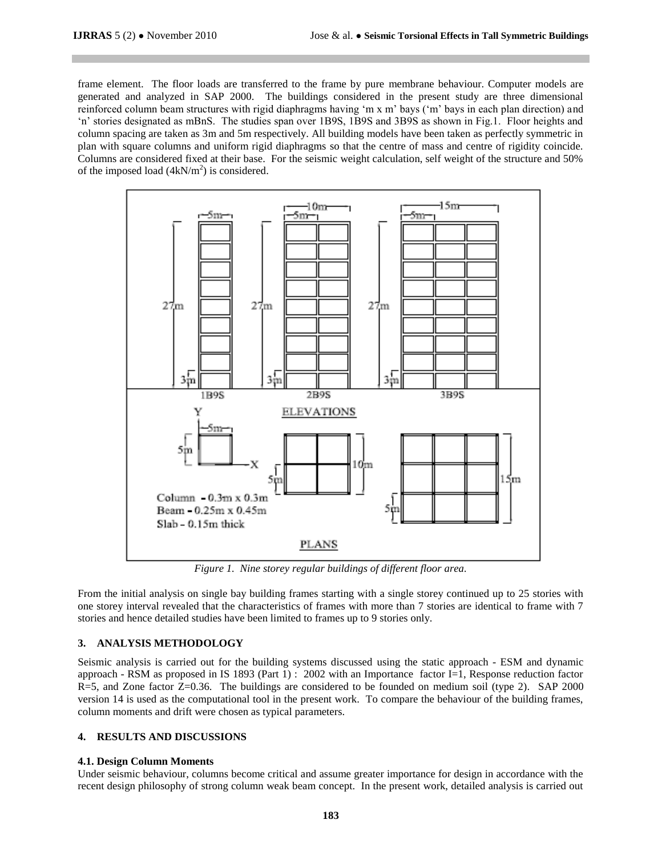frame element. The floor loads are transferred to the frame by pure membrane behaviour. Computer models are generated and analyzed in SAP 2000. The buildings considered in the present study are three dimensional reinforced column beam structures with rigid diaphragms having "m x m" bays ("m" bays in each plan direction) and "n" stories designated as mBnS. The studies span over 1B9S, 1B9S and 3B9S as shown in Fig.1. Floor heights and column spacing are taken as 3m and 5m respectively. All building models have been taken as perfectly symmetric in plan with square columns and uniform rigid diaphragms so that the centre of mass and centre of rigidity coincide. Columns are considered fixed at their base. For the seismic weight calculation, self weight of the structure and 50% of the imposed load  $(4kN/m^2)$  is considered.



*Figure 1. Nine storey regular buildings of different floor area.*

From the initial analysis on single bay building frames starting with a single storey continued up to 25 stories with one storey interval revealed that the characteristics of frames with more than 7 stories are identical to frame with 7 stories and hence detailed studies have been limited to frames up to 9 stories only.

#### **3. ANALYSIS METHODOLOGY**

Seismic analysis is carried out for the building systems discussed using the static approach - ESM and dynamic approach - RSM as proposed in IS 1893 (Part 1) : 2002 with an Importance factor I=1, Response reduction factor R=5, and Zone factor Z=0.36. The buildings are considered to be founded on medium soil (type 2). SAP 2000 version 14 is used as the computational tool in the present work. To compare the behaviour of the building frames, column moments and drift were chosen as typical parameters.

# **4. RESULTS AND DISCUSSIONS**

#### **4.1. Design Column Moments**

Under seismic behaviour, columns become critical and assume greater importance for design in accordance with the recent design philosophy of strong column weak beam concept. In the present work, detailed analysis is carried out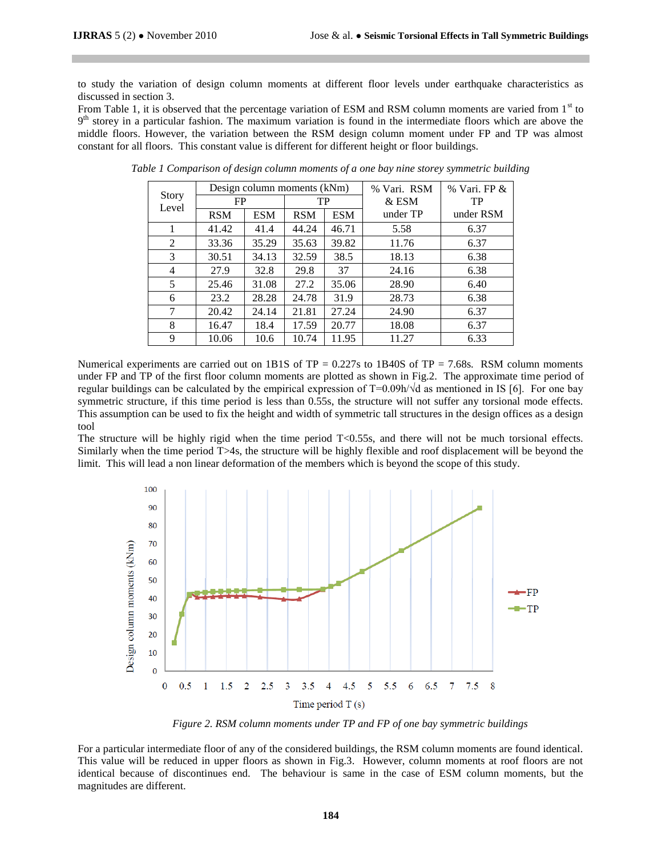to study the variation of design column moments at different floor levels under earthquake characteristics as discussed in section 3.

From Table 1, it is observed that the percentage variation of ESM and RSM column moments are varied from  $1<sup>st</sup>$  to 9<sup>th</sup> storey in a particular fashion. The maximum variation is found in the intermediate floors which are above the middle floors. However, the variation between the RSM design column moment under FP and TP was almost constant for all floors. This constant value is different for different height or floor buildings.

| Story<br>Level |            | Design column moments (kNm) |            | % Vari. RSM | $%$ Vari, FP $&$ |           |  |
|----------------|------------|-----------------------------|------------|-------------|------------------|-----------|--|
|                | FP         |                             | TP         |             | $&$ ESM          | TP        |  |
|                | <b>RSM</b> | <b>ESM</b>                  | <b>RSM</b> | <b>ESM</b>  | under TP         | under RSM |  |
| 1              | 41.42      | 41.4                        | 44.24      | 46.71       | 5.58             | 6.37      |  |
| $\overline{2}$ | 33.36      | 35.29                       | 35.63      | 39.82       | 11.76            | 6.37      |  |
| 3              | 30.51      | 34.13                       | 32.59      | 38.5        | 18.13            | 6.38      |  |
| 4              | 27.9       | 32.8                        | 29.8       | 37          | 24.16            | 6.38      |  |
| 5              | 25.46      | 31.08                       | 27.2       | 35.06       | 28.90            | 6.40      |  |
| 6              | 23.2       | 28.28                       | 24.78      | 31.9        | 28.73            | 6.38      |  |
| 7              | 20.42      | 24.14                       | 21.81      | 27.24       | 24.90            | 6.37      |  |
| 8              | 16.47      | 18.4                        | 17.59      | 20.77       | 18.08            | 6.37      |  |
| 9              | 10.06      | 10.6                        | 10.74      | 11.95       | 11.27            | 6.33      |  |

*Table 1 Comparison of design column moments of a one bay nine storey symmetric building*

Numerical experiments are carried out on 1B1S of  $TP = 0.227s$  to 1B40S of  $TP = 7.68s$ . RSM column moments under FP and TP of the first floor column moments are plotted as shown in Fig.2. The approximate time period of regular buildings can be calculated by the empirical expression of  $T=0.09h/\sqrt{d}$  as mentioned in IS [6]. For one bay symmetric structure, if this time period is less than 0.55s, the structure will not suffer any torsional mode effects. This assumption can be used to fix the height and width of symmetric tall structures in the design offices as a design tool

The structure will be highly rigid when the time period  $T<0.55s$ , and there will not be much torsional effects. Similarly when the time period T>4s, the structure will be highly flexible and roof displacement will be beyond the limit. This will lead a non linear deformation of the members which is beyond the scope of this study.



*Figure 2. RSM column moments under TP and FP of one bay symmetric buildings*

For a particular intermediate floor of any of the considered buildings, the RSM column moments are found identical. This value will be reduced in upper floors as shown in Fig.3. However, column moments at roof floors are not identical because of discontinues end. The behaviour is same in the case of ESM column moments, but the magnitudes are different.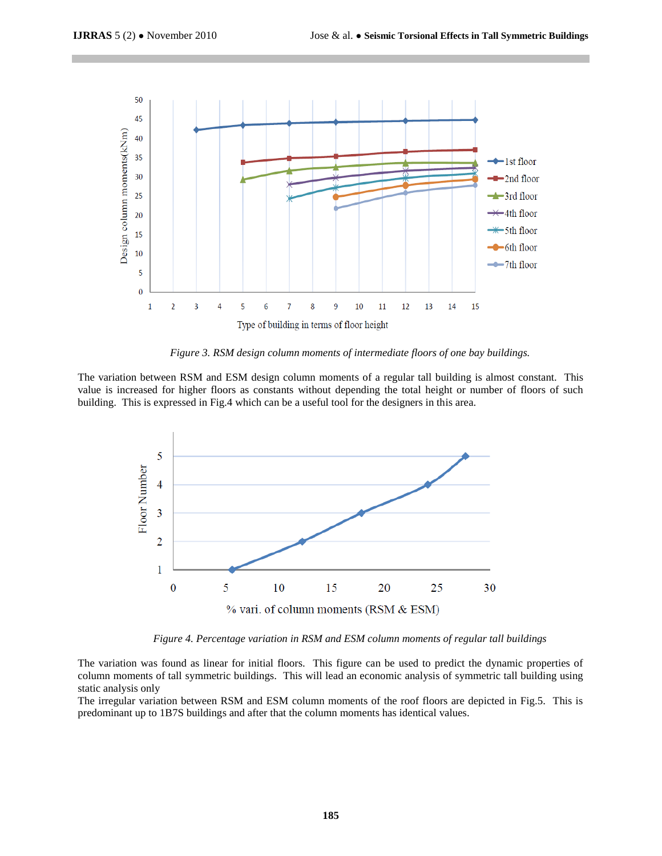

*Figure 3. RSM design column moments of intermediate floors of one bay buildings.*

The variation between RSM and ESM design column moments of a regular tall building is almost constant. This value is increased for higher floors as constants without depending the total height or number of floors of such building. This is expressed in Fig.4 which can be a useful tool for the designers in this area.



*Figure 4. Percentage variation in RSM and ESM column moments of regular tall buildings* 

The variation was found as linear for initial floors. This figure can be used to predict the dynamic properties of column moments of tall symmetric buildings. This will lead an economic analysis of symmetric tall building using static analysis only

The irregular variation between RSM and ESM column moments of the roof floors are depicted in Fig.5. This is predominant up to 1B7S buildings and after that the column moments has identical values.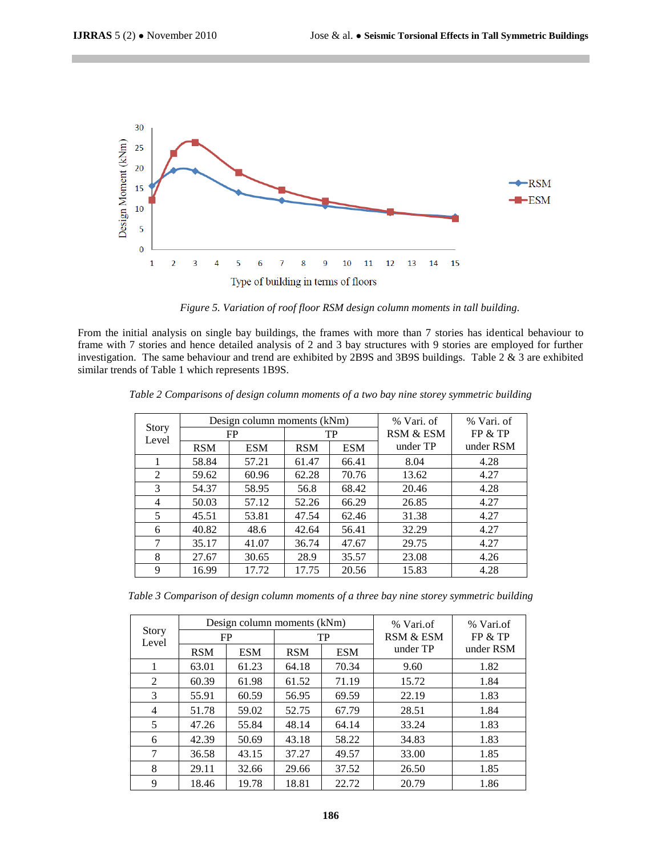

*Figure 5. Variation of roof floor RSM design column moments in tall building.* 

From the initial analysis on single bay buildings, the frames with more than 7 stories has identical behaviour to frame with 7 stories and hence detailed analysis of 2 and 3 bay structures with 9 stories are employed for further investigation. The same behaviour and trend are exhibited by 2B9S and 3B9S buildings. Table 2 & 3 are exhibited similar trends of Table 1 which represents 1B9S.

| Story<br>Level |            | Design column moments (kNm) |            | % Vari. of | % Vari. of |           |  |
|----------------|------------|-----------------------------|------------|------------|------------|-----------|--|
|                | <b>FP</b>  |                             | TP         |            | RSM & ESM  | FP & TP   |  |
|                | <b>RSM</b> | <b>ESM</b>                  | <b>RSM</b> | <b>ESM</b> | under TP   | under RSM |  |
|                | 58.84      | 57.21                       | 61.47      | 66.41      | 8.04       | 4.28      |  |
| $\mathfrak{D}$ | 59.62      | 60.96                       | 62.28      | 70.76      | 13.62      | 4.27      |  |
| 3              | 54.37      | 58.95                       | 56.8       | 68.42      | 20.46      | 4.28      |  |
| 4              | 50.03      | 57.12                       | 52.26      | 66.29      | 26.85      | 4.27      |  |
| 5              | 45.51      | 53.81                       | 47.54      | 62.46      | 31.38      | 4.27      |  |
| 6              | 40.82      | 48.6                        | 42.64      | 56.41      | 32.29      | 4.27      |  |
| 7              | 35.17      | 41.07                       | 36.74      | 47.67      | 29.75      | 4.27      |  |
| 8              | 27.67      | 30.65                       | 28.9       | 35.57      | 23.08      | 4.26      |  |
| 9              | 16.99      | 17.72                       | 17.75      | 20.56      | 15.83      | 4.28      |  |

*Table 2 Comparisons of design column moments of a two bay nine storey symmetric building*

*Table 3 Comparison of design column moments of a three bay nine storey symmetric building*

| <b>Story</b><br>Level |            |            | Design column moments (kNm) | % Vari.of  | % Vari.of<br>FP & TP |           |           |
|-----------------------|------------|------------|-----------------------------|------------|----------------------|-----------|-----------|
|                       | FP         |            |                             | TP         |                      |           | RSM & ESM |
|                       | <b>RSM</b> | <b>ESM</b> | <b>RSM</b>                  | <b>ESM</b> | under TP             | under RSM |           |
|                       | 63.01      | 61.23      | 64.18                       | 70.34      | 9.60                 | 1.82      |           |
| 2                     | 60.39      | 61.98      | 61.52                       | 71.19      | 15.72                | 1.84      |           |
| 3                     | 55.91      | 60.59      | 56.95                       | 69.59      | 22.19                | 1.83      |           |
| $\overline{4}$        | 51.78      | 59.02      | 52.75                       | 67.79      | 28.51                | 1.84      |           |
| 5                     | 47.26      | 55.84      | 48.14                       | 64.14      | 33.24                | 1.83      |           |
| 6                     | 42.39      | 50.69      | 43.18                       | 58.22      | 34.83                | 1.83      |           |
| 7                     | 36.58      | 43.15      | 37.27                       | 49.57      | 33.00                | 1.85      |           |
| 8                     | 29.11      | 32.66      | 29.66                       | 37.52      | 26.50                | 1.85      |           |
| 9                     | 18.46      | 19.78      | 18.81                       | 22.72      | 20.79                | 1.86      |           |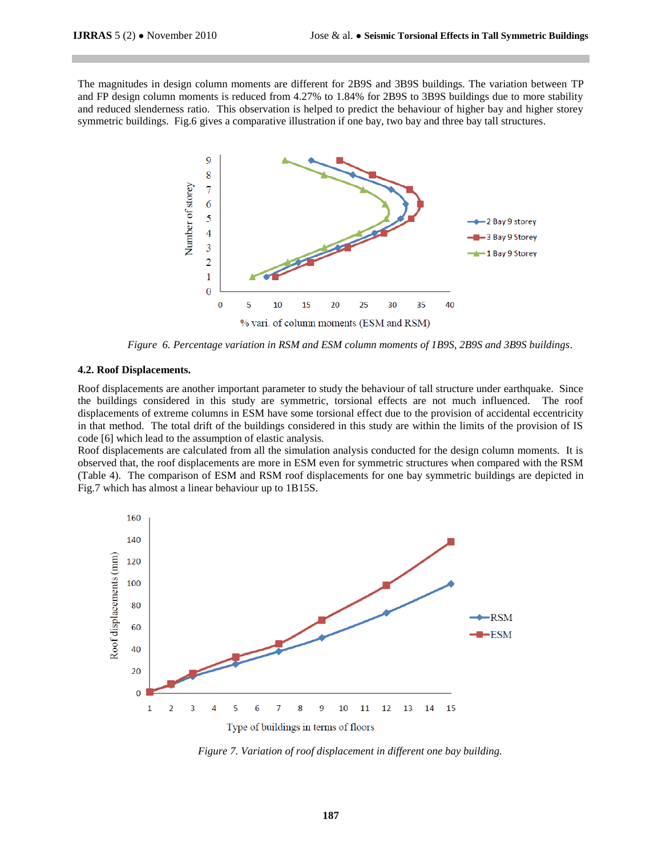The magnitudes in design column moments are different for 2B9S and 3B9S buildings. The variation between TP and FP design column moments is reduced from 4.27% to 1.84% for 2B9S to 3B9S buildings due to more stability and reduced slenderness ratio. This observation is helped to predict the behaviour of higher bay and higher storey symmetric buildings. Fig.6 gives a comparative illustration if one bay, two bay and three bay tall structures.



*Figure 6. Percentage variation in RSM and ESM column moments of 1B9S, 2B9S and 3B9S buildings.*

#### **4.2. Roof Displacements.**

Roof displacements are another important parameter to study the behaviour of tall structure under earthquake. Since the buildings considered in this study are symmetric, torsional effects are not much influenced. The roof displacements of extreme columns in ESM have some torsional effect due to the provision of accidental eccentricity in that method. The total drift of the buildings considered in this study are within the limits of the provision of IS code [6] which lead to the assumption of elastic analysis.

Roof displacements are calculated from all the simulation analysis conducted for the design column moments. It is observed that, the roof displacements are more in ESM even for symmetric structures when compared with the RSM (Table 4). The comparison of ESM and RSM roof displacements for one bay symmetric buildings are depicted in Fig.7 which has almost a linear behaviour up to 1B15S.



*Figure 7. Variation of roof displacement in different one bay building.*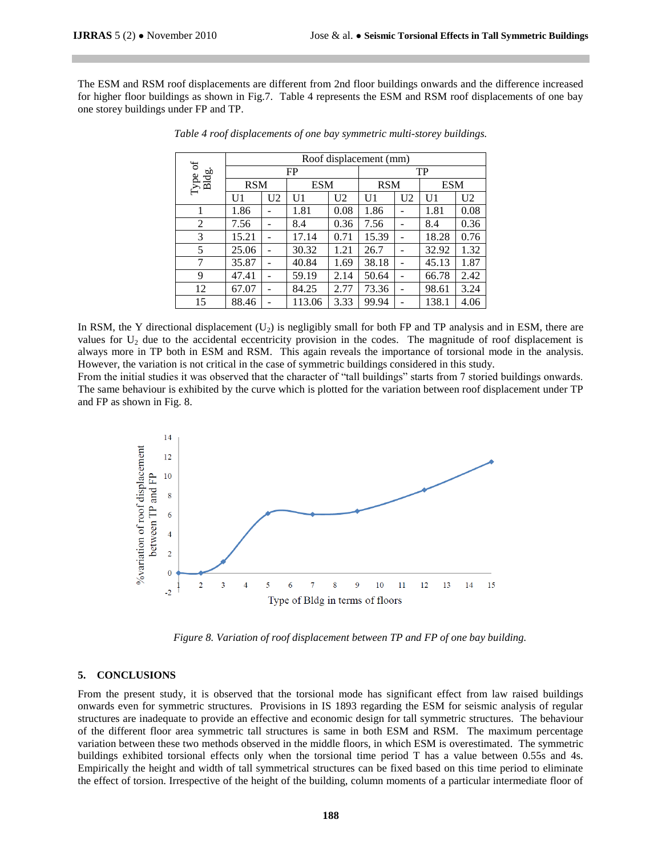The ESM and RSM roof displacements are different from 2nd floor buildings onwards and the difference increased for higher floor buildings as shown in Fig.7. Table 4 represents the ESM and RSM roof displacements of one bay one storey buildings under FP and TP.

| $\omega$<br>Type or<br>Bldg. | Roof displacement (mm) |                |            |                |            |                |            |                |  |
|------------------------------|------------------------|----------------|------------|----------------|------------|----------------|------------|----------------|--|
|                              | <b>FP</b>              |                |            |                |            | TP             |            |                |  |
|                              | <b>RSM</b>             |                | <b>ESM</b> |                | <b>RSM</b> |                | <b>ESM</b> |                |  |
|                              | U1                     | U <sub>2</sub> | U1         | U <sub>2</sub> | U1         | U <sub>2</sub> | U1         | U <sub>2</sub> |  |
|                              | 1.86                   | -              | 1.81       | 0.08           | 1.86       |                | 1.81       | 0.08           |  |
| 2                            | 7.56                   | ۰              | 8.4        | 0.36           | 7.56       |                | 8.4        | 0.36           |  |
| 3                            | 15.21                  | ۰              | 17.14      | 0.71           | 15.39      |                | 18.28      | 0.76           |  |
| 5                            | 25.06                  | -              | 30.32      | 1.21           | 26.7       |                | 32.92      | 1.32           |  |
| 7                            | 35.87                  |                | 40.84      | 1.69           | 38.18      |                | 45.13      | 1.87           |  |
| 9                            | 47.41                  |                | 59.19      | 2.14           | 50.64      |                | 66.78      | 2.42           |  |
| 12                           | 67.07                  |                | 84.25      | 2.77           | 73.36      |                | 98.61      | 3.24           |  |
| 15                           | 88.46                  |                | 113.06     | 3.33           | 99.94      |                | 138.1      | 4.06           |  |

*Table 4 roof displacements of one bay symmetric multi-storey buildings.*

In RSM, the Y directional displacement  $(U_2)$  is negligibly small for both FP and TP analysis and in ESM, there are values for U<sub>2</sub> due to the accidental eccentricity provision in the codes. The magnitude of roof displacement is always more in TP both in ESM and RSM. This again reveals the importance of torsional mode in the analysis. However, the variation is not critical in the case of symmetric buildings considered in this study.

From the initial studies it was observed that the character of "tall buildings" starts from 7 storied buildings onwards. The same behaviour is exhibited by the curve which is plotted for the variation between roof displacement under TP and FP as shown in Fig. 8.



*Figure 8. Variation of roof displacement between TP and FP of one bay building.*

# **5. CONCLUSIONS**

From the present study, it is observed that the torsional mode has significant effect from law raised buildings onwards even for symmetric structures. Provisions in IS 1893 regarding the ESM for seismic analysis of regular structures are inadequate to provide an effective and economic design for tall symmetric structures. The behaviour of the different floor area symmetric tall structures is same in both ESM and RSM. The maximum percentage variation between these two methods observed in the middle floors, in which ESM is overestimated. The symmetric buildings exhibited torsional effects only when the torsional time period T has a value between 0.55s and 4s. Empirically the height and width of tall symmetrical structures can be fixed based on this time period to eliminate the effect of torsion. Irrespective of the height of the building, column moments of a particular intermediate floor of